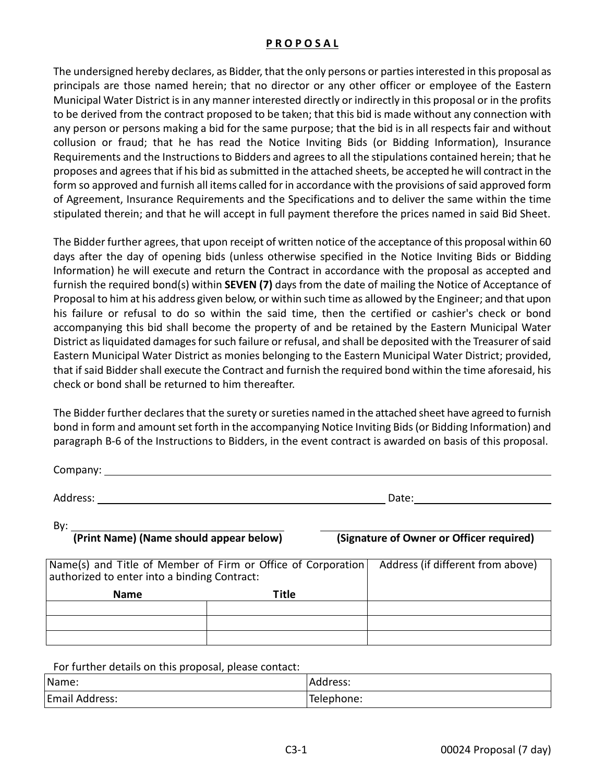## **P R O P O S A L**

The undersigned hereby declares, as Bidder, that the only persons or parties interested in this proposal as principals are those named herein; that no director or any other officer or employee of the Eastern Municipal Water District is in any manner interested directly or indirectly in this proposal or in the profits to be derived from the contract proposed to be taken; that this bid is made without any connection with any person or persons making a bid for the same purpose; that the bid is in all respects fair and without collusion or fraud; that he has read the Notice Inviting Bids (or Bidding Information), Insurance Requirements and the Instructions to Bidders and agrees to all the stipulations contained herein; that he proposes and agrees that if his bid as submitted in the attached sheets, be accepted he will contract in the form so approved and furnish all items called for in accordance with the provisions of said approved form of Agreement, Insurance Requirements and the Specifications and to deliver the same within the time stipulated therein; and that he will accept in full payment therefore the prices named in said Bid Sheet.

The Bidder further agrees, that upon receipt of written notice of the acceptance of this proposal within 60 days after the day of opening bids (unless otherwise specified in the Notice Inviting Bids or Bidding Information) he will execute and return the Contract in accordance with the proposal as accepted and furnish the required bond(s) within **SEVEN (7)** days from the date of mailing the Notice of Acceptance of Proposal to him at his address given below, or within such time as allowed by the Engineer; and that upon his failure or refusal to do so within the said time, then the certified or cashier's check or bond accompanying this bid shall become the property of and be retained by the Eastern Municipal Water District as liquidated damages for such failure or refusal, and shall be deposited with the Treasurer of said Eastern Municipal Water District as monies belonging to the Eastern Municipal Water District; provided, that if said Bidder shall execute the Contract and furnish the required bond within the time aforesaid, his check or bond shall be returned to him thereafter.

The Bidder further declares that the surety or sureties named in the attached sheet have agreed to furnish bond in form and amount set forth in the accompanying Notice Inviting Bids (or Bidding Information) and paragraph B-6 of the Instructions to Bidders, in the event contract is awarded on basis of this proposal.

Company:

Address: Date:

By:  $\mathcal{L}$ 

**(Print Name) (Name should appear below) (Signature of Owner or Officer required)**

| Name(s) and Title of Member of Firm or Office of Corporation<br>authorized to enter into a binding Contract: |       | Address (if different from above) |
|--------------------------------------------------------------------------------------------------------------|-------|-----------------------------------|
| <b>Name</b>                                                                                                  | Title |                                   |
|                                                                                                              |       |                                   |
|                                                                                                              |       |                                   |
|                                                                                                              |       |                                   |

For further details on this proposal, please contact:

| Name:          | Address:   |
|----------------|------------|
| Email Address: | Telephone: |